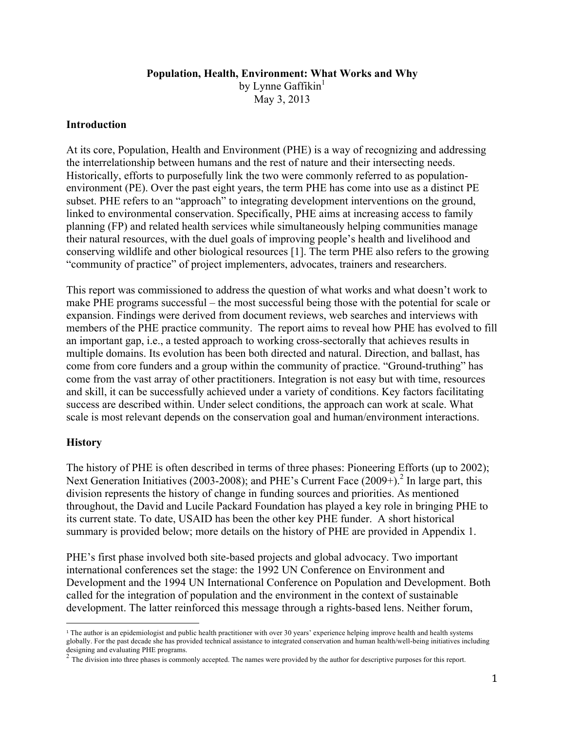#### **Population, Health, Environment: What Works and Why**

by Lynne Gaffikin $<sup>1</sup>$ </sup>

May 3, 2013

#### **Introduction**

At its core, Population, Health and Environment (PHE) is a way of recognizing and addressing the interrelationship between humans and the rest of nature and their intersecting needs. Historically, efforts to purposefully link the two were commonly referred to as populationenvironment (PE). Over the past eight years, the term PHE has come into use as a distinct PE subset. PHE refers to an "approach" to integrating development interventions on the ground, linked to environmental conservation. Specifically, PHE aims at increasing access to family planning (FP) and related health services while simultaneously helping communities manage their natural resources, with the duel goals of improving people's health and livelihood and conserving wildlife and other biological resources [1]. The term PHE also refers to the growing "community of practice" of project implementers, advocates, trainers and researchers.

This report was commissioned to address the question of what works and what doesn't work to make PHE programs successful – the most successful being those with the potential for scale or expansion. Findings were derived from document reviews, web searches and interviews with members of the PHE practice community. The report aims to reveal how PHE has evolved to fill an important gap, i.e., a tested approach to working cross-sectorally that achieves results in multiple domains. Its evolution has been both directed and natural. Direction, and ballast, has come from core funders and a group within the community of practice. "Ground-truthing" has come from the vast array of other practitioners. Integration is not easy but with time, resources and skill, it can be successfully achieved under a variety of conditions. Key factors facilitating success are described within. Under select conditions, the approach can work at scale. What scale is most relevant depends on the conservation goal and human/environment interactions.

### **History**

The history of PHE is often described in terms of three phases: Pioneering Efforts (up to 2002); Next Generation Initiatives (2003-2008); and PHE's Current Face (2009+).<sup>2</sup> In large part, this division represents the history of change in funding sources and priorities. As mentioned throughout, the David and Lucile Packard Foundation has played a key role in bringing PHE to its current state. To date, USAID has been the other key PHE funder. A short historical summary is provided below; more details on the history of PHE are provided in Appendix 1.

PHE's first phase involved both site-based projects and global advocacy. Two important international conferences set the stage: the 1992 UN Conference on Environment and Development and the 1994 UN International Conference on Population and Development. Both called for the integration of population and the environment in the context of sustainable development. The latter reinforced this message through a rights-based lens. Neither forum,

 <sup>1</sup> The author is an epidemiologist and public health practitioner with over 30 years' experience helping improve health and health systems globally. For the past decade she has provided technical assistance to integrated conservation and human health/well-being initiatives including designing and evaluating PHE programs.<br><sup>2</sup> The division into three phases is commonly accepted. The names were provided by the author for descriptive purposes for this report.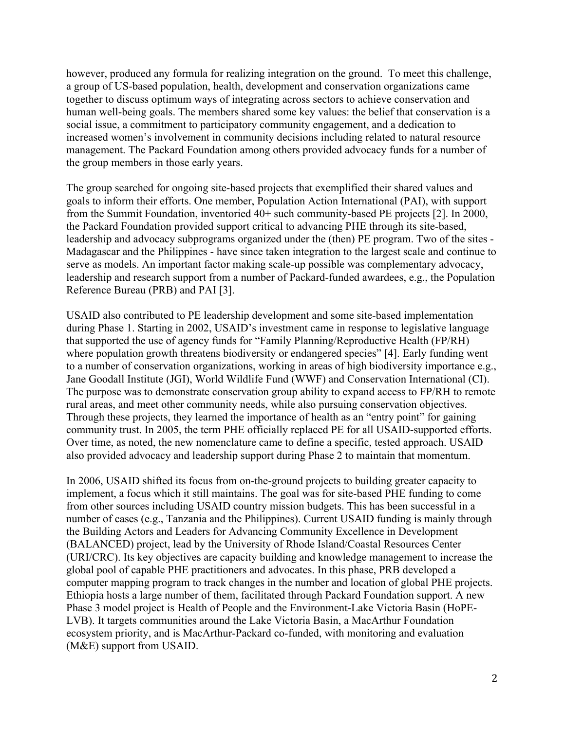however, produced any formula for realizing integration on the ground. To meet this challenge, a group of US-based population, health, development and conservation organizations came together to discuss optimum ways of integrating across sectors to achieve conservation and human well-being goals. The members shared some key values: the belief that conservation is a social issue, a commitment to participatory community engagement, and a dedication to increased women's involvement in community decisions including related to natural resource management. The Packard Foundation among others provided advocacy funds for a number of the group members in those early years.

The group searched for ongoing site-based projects that exemplified their shared values and goals to inform their efforts. One member, Population Action International (PAI), with support from the Summit Foundation, inventoried 40+ such community-based PE projects [2]. In 2000, the Packard Foundation provided support critical to advancing PHE through its site-based, leadership and advocacy subprograms organized under the (then) PE program. Two of the sites - Madagascar and the Philippines - have since taken integration to the largest scale and continue to serve as models. An important factor making scale-up possible was complementary advocacy, leadership and research support from a number of Packard-funded awardees, e.g., the Population Reference Bureau (PRB) and PAI [3].

USAID also contributed to PE leadership development and some site-based implementation during Phase 1. Starting in 2002, USAID's investment came in response to legislative language that supported the use of agency funds for "Family Planning/Reproductive Health (FP/RH) where population growth threatens biodiversity or endangered species" [4]. Early funding went to a number of conservation organizations, working in areas of high biodiversity importance e.g., Jane Goodall Institute (JGI), World Wildlife Fund (WWF) and Conservation International (CI). The purpose was to demonstrate conservation group ability to expand access to FP/RH to remote rural areas, and meet other community needs, while also pursuing conservation objectives. Through these projects, they learned the importance of health as an "entry point" for gaining community trust. In 2005, the term PHE officially replaced PE for all USAID-supported efforts. Over time, as noted, the new nomenclature came to define a specific, tested approach. USAID also provided advocacy and leadership support during Phase 2 to maintain that momentum.

In 2006, USAID shifted its focus from on-the-ground projects to building greater capacity to implement, a focus which it still maintains. The goal was for site-based PHE funding to come from other sources including USAID country mission budgets. This has been successful in a number of cases (e.g., Tanzania and the Philippines). Current USAID funding is mainly through the Building Actors and Leaders for Advancing Community Excellence in Development (BALANCED) project, lead by the University of Rhode Island/Coastal Resources Center (URI/CRC). Its key objectives are capacity building and knowledge management to increase the global pool of capable PHE practitioners and advocates. In this phase, PRB developed a computer mapping program to track changes in the number and location of global PHE projects. Ethiopia hosts a large number of them, facilitated through Packard Foundation support. A new Phase 3 model project is Health of People and the Environment-Lake Victoria Basin (HoPE-LVB). It targets communities around the Lake Victoria Basin, a MacArthur Foundation ecosystem priority, and is MacArthur-Packard co-funded, with monitoring and evaluation (M&E) support from USAID.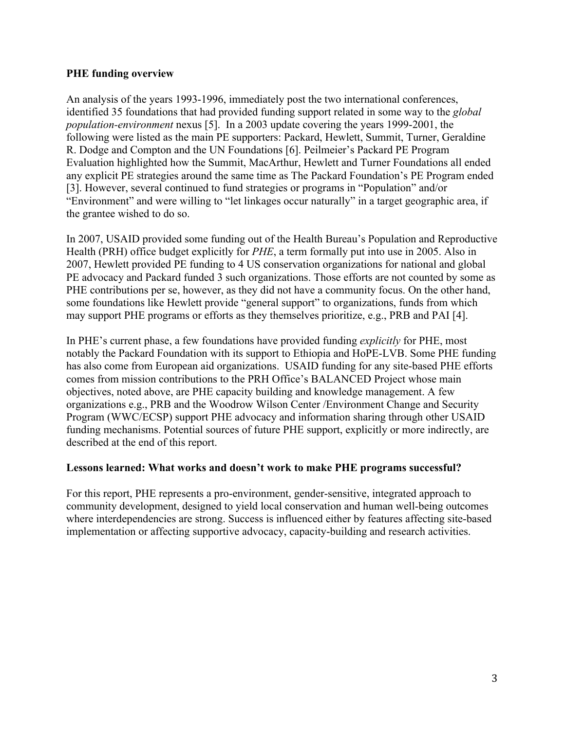#### **PHE funding overview**

An analysis of the years 1993-1996, immediately post the two international conferences, identified 35 foundations that had provided funding support related in some way to the *global population-environment* nexus [5]. In a 2003 update covering the years 1999-2001, the following were listed as the main PE supporters: Packard, Hewlett, Summit, Turner, Geraldine R. Dodge and Compton and the UN Foundations [6]. Peilmeier's Packard PE Program Evaluation highlighted how the Summit, MacArthur, Hewlett and Turner Foundations all ended any explicit PE strategies around the same time as The Packard Foundation's PE Program ended [3]. However, several continued to fund strategies or programs in "Population" and/or "Environment" and were willing to "let linkages occur naturally" in a target geographic area, if the grantee wished to do so.

In 2007, USAID provided some funding out of the Health Bureau's Population and Reproductive Health (PRH) office budget explicitly for *PHE*, a term formally put into use in 2005. Also in 2007, Hewlett provided PE funding to 4 US conservation organizations for national and global PE advocacy and Packard funded 3 such organizations. Those efforts are not counted by some as PHE contributions per se, however, as they did not have a community focus. On the other hand, some foundations like Hewlett provide "general support" to organizations, funds from which may support PHE programs or efforts as they themselves prioritize, e.g., PRB and PAI [4].

In PHE's current phase, a few foundations have provided funding *explicitly* for PHE, most notably the Packard Foundation with its support to Ethiopia and HoPE-LVB. Some PHE funding has also come from European aid organizations. USAID funding for any site-based PHE efforts comes from mission contributions to the PRH Office's BALANCED Project whose main objectives, noted above, are PHE capacity building and knowledge management. A few organizations e.g., PRB and the Woodrow Wilson Center /Environment Change and Security Program (WWC/ECSP) support PHE advocacy and information sharing through other USAID funding mechanisms. Potential sources of future PHE support, explicitly or more indirectly, are described at the end of this report.

#### **Lessons learned: What works and doesn't work to make PHE programs successful?**

For this report, PHE represents a pro-environment, gender-sensitive, integrated approach to community development, designed to yield local conservation and human well-being outcomes where interdependencies are strong. Success is influenced either by features affecting site-based implementation or affecting supportive advocacy, capacity-building and research activities.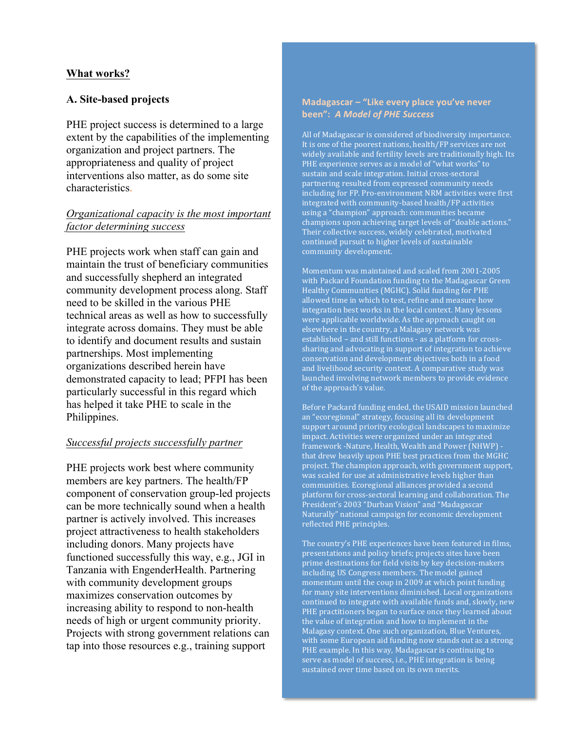#### **What works?**

#### **A. Site-based projects**

PHE project success is determined to a large extent by the capabilities of the implementing organization and project partners. The appropriateness and quality of project interventions also matter, as do some site characteristics.

#### *Organizational capacity is the most important factor determining success*

PHE projects work when staff can gain and maintain the trust of beneficiary communities and successfully shepherd an integrated community development process along. Staff need to be skilled in the various PHE technical areas as well as how to successfully integrate across domains. They must be able to identify and document results and sustain partnerships. Most implementing organizations described herein have demonstrated capacity to lead; PFPI has been particularly successful in this regard which has helped it take PHE to scale in the Philippines.

#### *Successful projects successfully partner*

PHE projects work best where community members are key partners. The health/FP component of conservation group-led projects can be more technically sound when a health partner is actively involved. This increases project attractiveness to health stakeholders including donors. Many projects have functioned successfully this way, e.g., JGI in Tanzania with EngenderHealth. Partnering with community development groups maximizes conservation outcomes by increasing ability to respond to non-health needs of high or urgent community priority. Projects with strong government relations can tap into those resources e.g., training support

#### Madagascar - "Like every place you've never **been":** *A Model of PHE Success*

All of Madagascar is considered of biodiversity importance. It is one of the poorest nations, health/FP services are not widely available and fertility levels are traditionally high. Its PHE experience serves as a model of "what works" to sustain and scale integration. Initial cross-sectoral partnering resulted from expressed community needs including for FP. Pro-environment NRM activities were first integrated with community-based health/FP activities using a "champion" approach: communities became champions upon achieving target levels of "doable actions." Their collective success, widely celebrated, motivated continued pursuit to higher levels of sustainable community development.

Momentum was maintained and scaled from 2001-2005 with Packard Foundation funding to the Madagascar Green Healthy Communities (MGHC). Solid funding for PHE allowed time in which to test, refine and measure how integration best works in the local context. Many lessons were applicable worldwide. As the approach caught on elsewhere in the country, a Malagasy network was established - and still functions - as a platform for crosssharing and advocating in support of integration to achieve conservation and development objectives both in a food and livelihood security context. A comparative study was launched involving network members to provide evidence of the approach's value.

Before Packard funding ended, the USAID mission launched an "ecoregional" strategy, focusing all its development support around priority ecological landscapes to maximize impact. Activities were organized under an integrated framework -Nature, Health, Wealth and Power (NHWP) that drew heavily upon PHE best practices from the  $MGHC$ project. The champion approach, with government support,  $\frac{1}{x}$  was scaled for use at administrative levels higher than communities. Ecoregional alliances provided a second platform for cross-sectoral learning and collaboration. The President's 2003 "Durban Vision" and "Madagascar Naturally" national campaign for economic development reflected PHE principles.

The country's PHE experiences have been featured in films, presentations and policy briefs; projects sites have been prime destinations for field visits by key decision-makers including US Congress members. The model gained momentum until the coup in 2009 at which point funding for many site interventions diminished. Local organizations continued to integrate with available funds and, slowly, new PHE practitioners began to surface once they learned about the value of integration and how to implement in the Malagasy context. One such organization, Blue Ventures, with some European aid funding now stands out as a strong PHE example. In this way, Madagascar is continuing to serve as model of success, i.e., PHE integration is being sustained over time based on its own merits.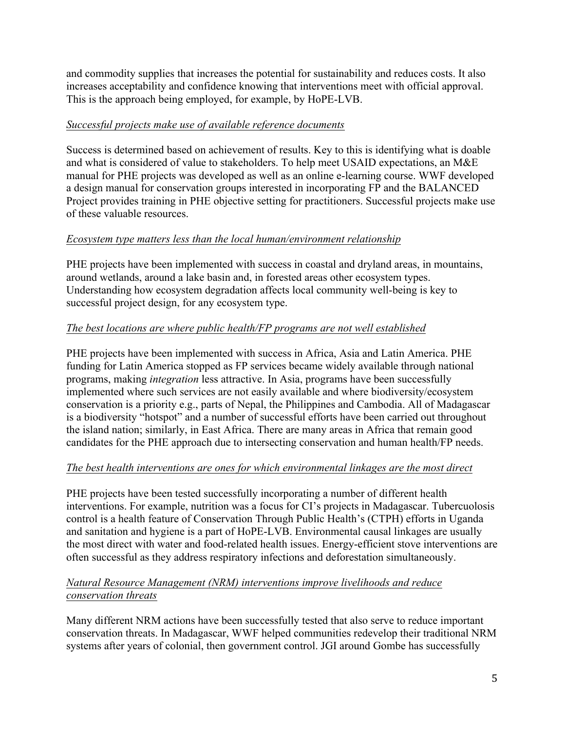and commodity supplies that increases the potential for sustainability and reduces costs. It also increases acceptability and confidence knowing that interventions meet with official approval. This is the approach being employed, for example, by HoPE-LVB.

## *Successful projects make use of available reference documents*

Success is determined based on achievement of results. Key to this is identifying what is doable and what is considered of value to stakeholders. To help meet USAID expectations, an M&E manual for PHE projects was developed as well as an online e-learning course. WWF developed a design manual for conservation groups interested in incorporating FP and the BALANCED Project provides training in PHE objective setting for practitioners. Successful projects make use of these valuable resources.

## *Ecosystem type matters less than the local human/environment relationship*

PHE projects have been implemented with success in coastal and dryland areas, in mountains, around wetlands, around a lake basin and, in forested areas other ecosystem types. Understanding how ecosystem degradation affects local community well-being is key to successful project design, for any ecosystem type.

## *The best locations are where public health/FP programs are not well established*

PHE projects have been implemented with success in Africa, Asia and Latin America. PHE funding for Latin America stopped as FP services became widely available through national programs, making *integration* less attractive. In Asia, programs have been successfully implemented where such services are not easily available and where biodiversity/ecosystem conservation is a priority e.g., parts of Nepal, the Philippines and Cambodia. All of Madagascar is a biodiversity "hotspot" and a number of successful efforts have been carried out throughout the island nation; similarly, in East Africa. There are many areas in Africa that remain good candidates for the PHE approach due to intersecting conservation and human health/FP needs.

### *The best health interventions are ones for which environmental linkages are the most direct*

PHE projects have been tested successfully incorporating a number of different health interventions. For example, nutrition was a focus for CI's projects in Madagascar. Tubercuolosis control is a health feature of Conservation Through Public Health's (CTPH) efforts in Uganda and sanitation and hygiene is a part of HoPE-LVB. Environmental causal linkages are usually the most direct with water and food-related health issues. Energy-efficient stove interventions are often successful as they address respiratory infections and deforestation simultaneously.

## *Natural Resource Management (NRM) interventions improve livelihoods and reduce conservation threats*

Many different NRM actions have been successfully tested that also serve to reduce important conservation threats. In Madagascar, WWF helped communities redevelop their traditional NRM systems after years of colonial, then government control. JGI around Gombe has successfully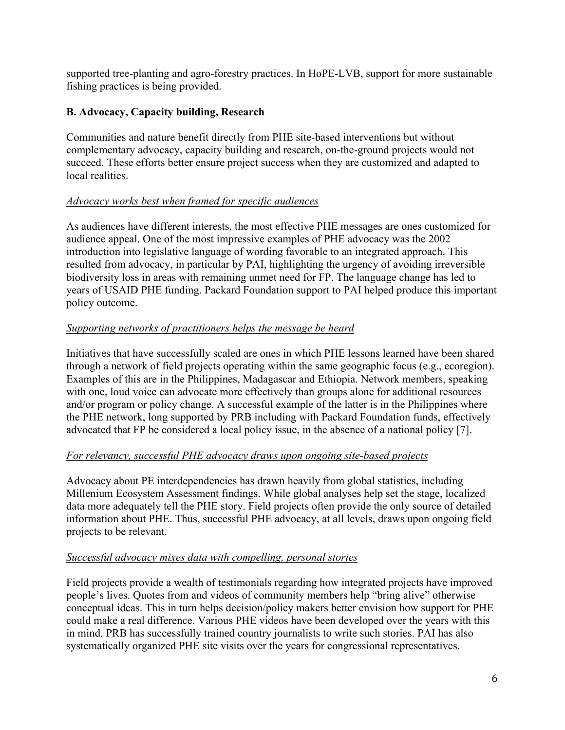supported tree-planting and agro-forestry practices. In HoPE-LVB, support for more sustainable fishing practices is being provided.

## **B. Advocacy, Capacity building, Research**

Communities and nature benefit directly from PHE site-based interventions but without complementary advocacy, capacity building and research, on-the-ground projects would not succeed. These efforts better ensure project success when they are customized and adapted to local realities.

## *Advocacy works best when framed for specific audiences*

As audiences have different interests, the most effective PHE messages are ones customized for audience appeal. One of the most impressive examples of PHE advocacy was the 2002 introduction into legislative language of wording favorable to an integrated approach. This resulted from advocacy, in particular by PAI, highlighting the urgency of avoiding irreversible biodiversity loss in areas with remaining unmet need for FP. The language change has led to years of USAID PHE funding. Packard Foundation support to PAI helped produce this important policy outcome.

## *Supporting networks of practitioners helps the message be heard*

Initiatives that have successfully scaled are ones in which PHE lessons learned have been shared through a network of field projects operating within the same geographic focus (e.g., ecoregion). Examples of this are in the Philippines, Madagascar and Ethiopia. Network members, speaking with one, loud voice can advocate more effectively than groups alone for additional resources and/or program or policy change. A successful example of the latter is in the Philippines where the PHE network, long supported by PRB including with Packard Foundation funds, effectively advocated that FP be considered a local policy issue, in the absence of a national policy [7].

### *For relevancy, successful PHE advocacy draws upon ongoing site-based projects*

Advocacy about PE interdependencies has drawn heavily from global statistics, including Millenium Ecosystem Assessment findings. While global analyses help set the stage, localized data more adequately tell the PHE story. Field projects often provide the only source of detailed information about PHE. Thus, successful PHE advocacy, at all levels, draws upon ongoing field projects to be relevant.

### *Successful advocacy mixes data with compelling, personal stories*

Field projects provide a wealth of testimonials regarding how integrated projects have improved people's lives. Quotes from and videos of community members help "bring alive" otherwise conceptual ideas. This in turn helps decision/policy makers better envision how support for PHE could make a real difference. Various PHE videos have been developed over the years with this in mind. PRB has successfully trained country journalists to write such stories. PAI has also systematically organized PHE site visits over the years for congressional representatives.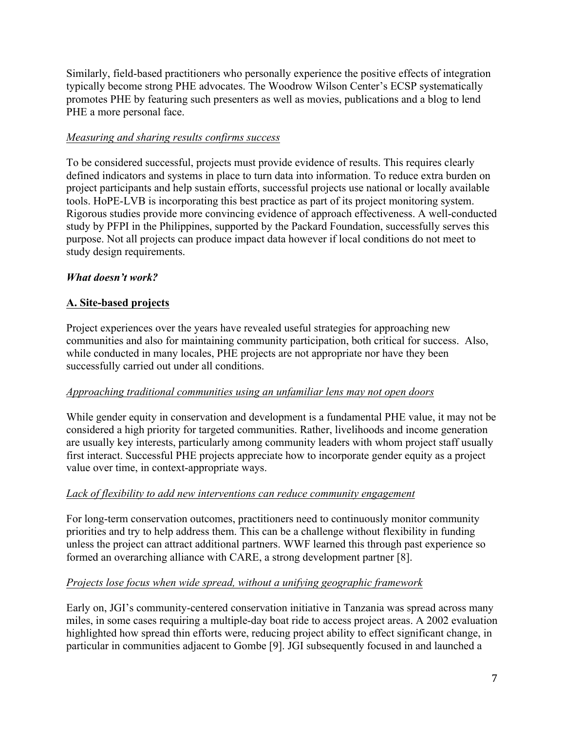Similarly, field-based practitioners who personally experience the positive effects of integration typically become strong PHE advocates. The Woodrow Wilson Center's ECSP systematically promotes PHE by featuring such presenters as well as movies, publications and a blog to lend PHE a more personal face.

## *Measuring and sharing results confirms success*

To be considered successful, projects must provide evidence of results. This requires clearly defined indicators and systems in place to turn data into information. To reduce extra burden on project participants and help sustain efforts, successful projects use national or locally available tools. HoPE-LVB is incorporating this best practice as part of its project monitoring system. Rigorous studies provide more convincing evidence of approach effectiveness. A well-conducted study by PFPI in the Philippines, supported by the Packard Foundation, successfully serves this purpose. Not all projects can produce impact data however if local conditions do not meet to study design requirements.

## *What doesn't work?*

## **A. Site-based projects**

Project experiences over the years have revealed useful strategies for approaching new communities and also for maintaining community participation, both critical for success. Also, while conducted in many locales, PHE projects are not appropriate nor have they been successfully carried out under all conditions.

### *Approaching traditional communities using an unfamiliar lens may not open doors*

While gender equity in conservation and development is a fundamental PHE value, it may not be considered a high priority for targeted communities. Rather, livelihoods and income generation are usually key interests, particularly among community leaders with whom project staff usually first interact. Successful PHE projects appreciate how to incorporate gender equity as a project value over time, in context-appropriate ways.

### *Lack of flexibility to add new interventions can reduce community engagement*

For long-term conservation outcomes, practitioners need to continuously monitor community priorities and try to help address them. This can be a challenge without flexibility in funding unless the project can attract additional partners. WWF learned this through past experience so formed an overarching alliance with CARE, a strong development partner [8].

### *Projects lose focus when wide spread, without a unifying geographic framework*

Early on, JGI's community-centered conservation initiative in Tanzania was spread across many miles, in some cases requiring a multiple-day boat ride to access project areas. A 2002 evaluation highlighted how spread thin efforts were, reducing project ability to effect significant change, in particular in communities adjacent to Gombe [9]. JGI subsequently focused in and launched a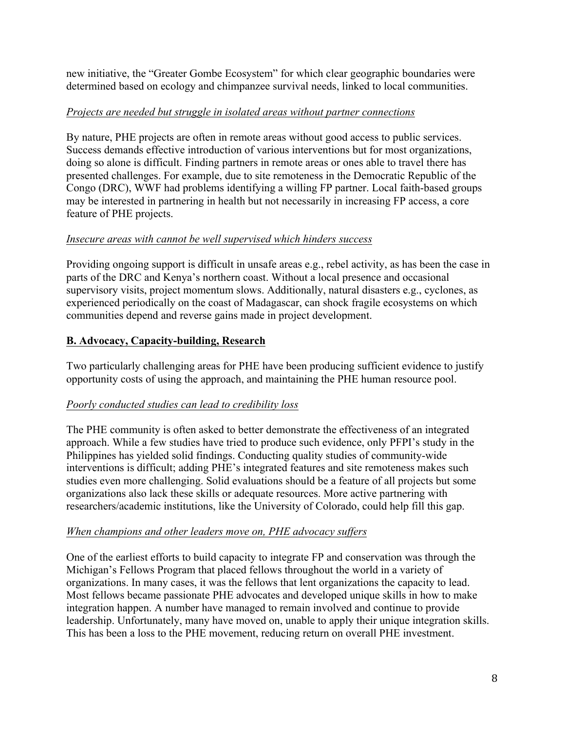new initiative, the "Greater Gombe Ecosystem" for which clear geographic boundaries were determined based on ecology and chimpanzee survival needs, linked to local communities.

#### *Projects are needed but struggle in isolated areas without partner connections*

By nature, PHE projects are often in remote areas without good access to public services. Success demands effective introduction of various interventions but for most organizations, doing so alone is difficult. Finding partners in remote areas or ones able to travel there has presented challenges. For example, due to site remoteness in the Democratic Republic of the Congo (DRC), WWF had problems identifying a willing FP partner. Local faith-based groups may be interested in partnering in health but not necessarily in increasing FP access, a core feature of PHE projects.

### *Insecure areas with cannot be well supervised which hinders success*

Providing ongoing support is difficult in unsafe areas e.g., rebel activity, as has been the case in parts of the DRC and Kenya's northern coast. Without a local presence and occasional supervisory visits, project momentum slows. Additionally, natural disasters e.g., cyclones, as experienced periodically on the coast of Madagascar, can shock fragile ecosystems on which communities depend and reverse gains made in project development.

### **B. Advocacy, Capacity-building, Research**

Two particularly challenging areas for PHE have been producing sufficient evidence to justify opportunity costs of using the approach, and maintaining the PHE human resource pool.

### *Poorly conducted studies can lead to credibility loss*

The PHE community is often asked to better demonstrate the effectiveness of an integrated approach. While a few studies have tried to produce such evidence, only PFPI's study in the Philippines has yielded solid findings. Conducting quality studies of community-wide interventions is difficult; adding PHE's integrated features and site remoteness makes such studies even more challenging. Solid evaluations should be a feature of all projects but some organizations also lack these skills or adequate resources. More active partnering with researchers/academic institutions, like the University of Colorado, could help fill this gap.

### *When champions and other leaders move on, PHE advocacy suffers*

One of the earliest efforts to build capacity to integrate FP and conservation was through the Michigan's Fellows Program that placed fellows throughout the world in a variety of organizations. In many cases, it was the fellows that lent organizations the capacity to lead. Most fellows became passionate PHE advocates and developed unique skills in how to make integration happen. A number have managed to remain involved and continue to provide leadership. Unfortunately, many have moved on, unable to apply their unique integration skills. This has been a loss to the PHE movement, reducing return on overall PHE investment.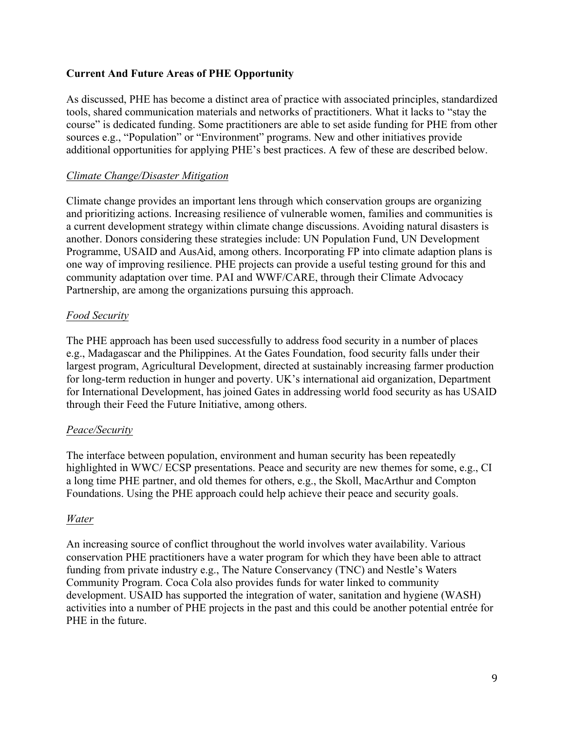### **Current And Future Areas of PHE Opportunity**

As discussed, PHE has become a distinct area of practice with associated principles, standardized tools, shared communication materials and networks of practitioners. What it lacks to "stay the course" is dedicated funding. Some practitioners are able to set aside funding for PHE from other sources e.g., "Population" or "Environment" programs. New and other initiatives provide additional opportunities for applying PHE's best practices. A few of these are described below.

#### *Climate Change/Disaster Mitigation*

Climate change provides an important lens through which conservation groups are organizing and prioritizing actions. Increasing resilience of vulnerable women, families and communities is a current development strategy within climate change discussions. Avoiding natural disasters is another. Donors considering these strategies include: UN Population Fund, UN Development Programme, USAID and AusAid, among others. Incorporating FP into climate adaption plans is one way of improving resilience. PHE projects can provide a useful testing ground for this and community adaptation over time. PAI and WWF/CARE, through their Climate Advocacy Partnership, are among the organizations pursuing this approach.

#### *Food Security*

The PHE approach has been used successfully to address food security in a number of places e.g., Madagascar and the Philippines. At the Gates Foundation, food security falls under their largest program, Agricultural Development, directed at sustainably increasing farmer production for long-term reduction in hunger and poverty. UK's international aid organization, Department for International Development, has joined Gates in addressing world food security as has USAID through their Feed the Future Initiative, among others.

#### *Peace/Security*

The interface between population, environment and human security has been repeatedly highlighted in WWC/ ECSP presentations. Peace and security are new themes for some, e.g., CI a long time PHE partner, and old themes for others, e.g., the Skoll, MacArthur and Compton Foundations. Using the PHE approach could help achieve their peace and security goals.

#### *Water*

An increasing source of conflict throughout the world involves water availability. Various conservation PHE practitioners have a water program for which they have been able to attract funding from private industry e.g., The Nature Conservancy (TNC) and Nestle's Waters Community Program. Coca Cola also provides funds for water linked to community development. USAID has supported the integration of water, sanitation and hygiene (WASH) activities into a number of PHE projects in the past and this could be another potential entrée for PHE in the future.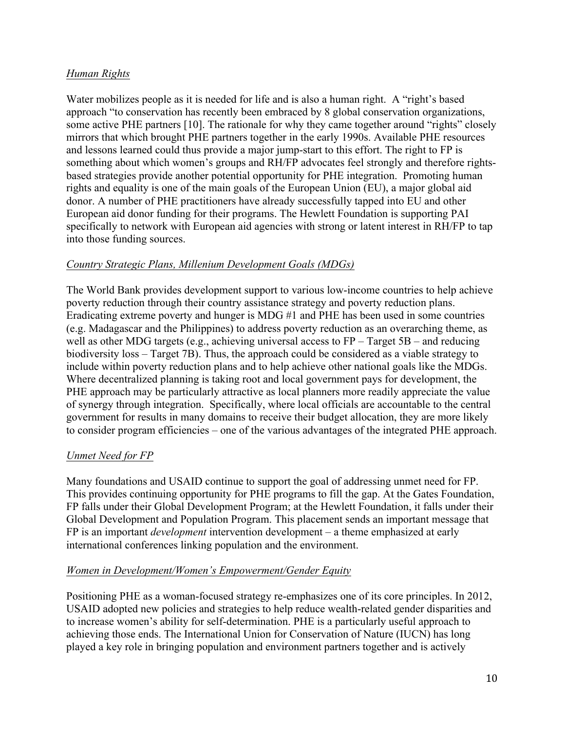## *Human Rights*

Water mobilizes people as it is needed for life and is also a human right. A "right's based approach "to conservation has recently been embraced by 8 global conservation organizations, some active PHE partners [10]. The rationale for why they came together around "rights" closely mirrors that which brought PHE partners together in the early 1990s. Available PHE resources and lessons learned could thus provide a major jump-start to this effort. The right to FP is something about which women's groups and RH/FP advocates feel strongly and therefore rightsbased strategies provide another potential opportunity for PHE integration. Promoting human rights and equality is one of the main goals of the European Union (EU), a major global aid donor. A number of PHE practitioners have already successfully tapped into EU and other European aid donor funding for their programs. The Hewlett Foundation is supporting PAI specifically to network with European aid agencies with strong or latent interest in RH/FP to tap into those funding sources.

### *Country Strategic Plans, Millenium Development Goals (MDGs)*

The World Bank provides development support to various low-income countries to help achieve poverty reduction through their country assistance strategy and poverty reduction plans. Eradicating extreme poverty and hunger is MDG #1 and PHE has been used in some countries (e.g. Madagascar and the Philippines) to address poverty reduction as an overarching theme, as well as other MDG targets (e.g., achieving universal access to FP – Target 5B – and reducing biodiversity loss – Target 7B). Thus, the approach could be considered as a viable strategy to include within poverty reduction plans and to help achieve other national goals like the MDGs. Where decentralized planning is taking root and local government pays for development, the PHE approach may be particularly attractive as local planners more readily appreciate the value of synergy through integration. Specifically, where local officials are accountable to the central government for results in many domains to receive their budget allocation, they are more likely to consider program efficiencies – one of the various advantages of the integrated PHE approach.

## *Unmet Need for FP*

Many foundations and USAID continue to support the goal of addressing unmet need for FP. This provides continuing opportunity for PHE programs to fill the gap. At the Gates Foundation, FP falls under their Global Development Program; at the Hewlett Foundation, it falls under their Global Development and Population Program. This placement sends an important message that FP is an important *development* intervention development – a theme emphasized at early international conferences linking population and the environment.

### *Women in Development/Women's Empowerment/Gender Equity*

Positioning PHE as a woman-focused strategy re-emphasizes one of its core principles. In 2012, USAID adopted new policies and strategies to help reduce wealth-related gender disparities and to increase women's ability for self-determination. PHE is a particularly useful approach to achieving those ends. The International Union for Conservation of Nature (IUCN) has long played a key role in bringing population and environment partners together and is actively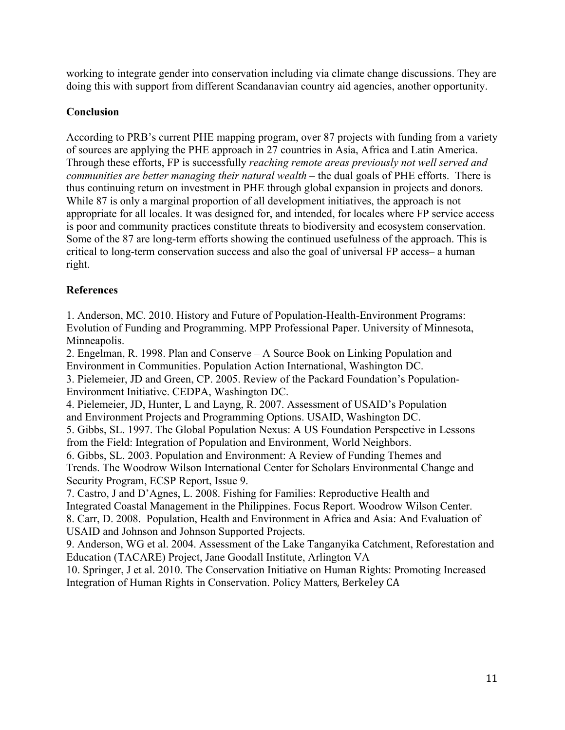working to integrate gender into conservation including via climate change discussions. They are doing this with support from different Scandanavian country aid agencies, another opportunity.

### **Conclusion**

According to PRB's current PHE mapping program, over 87 projects with funding from a variety of sources are applying the PHE approach in 27 countries in Asia, Africa and Latin America. Through these efforts, FP is successfully *reaching remote areas previously not well served and communities are better managing their natural wealth* – the dual goals of PHE efforts. There is thus continuing return on investment in PHE through global expansion in projects and donors. While 87 is only a marginal proportion of all development initiatives, the approach is not appropriate for all locales. It was designed for, and intended, for locales where FP service access is poor and community practices constitute threats to biodiversity and ecosystem conservation. Some of the 87 are long-term efforts showing the continued usefulness of the approach. This is critical to long-term conservation success and also the goal of universal FP access– a human right.

### **References**

1. Anderson, MC. 2010. History and Future of Population-Health-Environment Programs: Evolution of Funding and Programming. MPP Professional Paper. University of Minnesota, Minneapolis.

2. Engelman, R. 1998. Plan and Conserve – A Source Book on Linking Population and Environment in Communities. Population Action International, Washington DC. 3. Pielemeier, JD and Green, CP. 2005. Review of the Packard Foundation's Population-Environment Initiative. CEDPA, Washington DC.

4. Pielemeier, JD, Hunter, L and Layng, R. 2007. Assessment of USAID's Population and Environment Projects and Programming Options. USAID, Washington DC.

5. Gibbs, SL. 1997. The Global Population Nexus: A US Foundation Perspective in Lessons from the Field: Integration of Population and Environment, World Neighbors.

6. Gibbs, SL. 2003. Population and Environment: A Review of Funding Themes and Trends. The Woodrow Wilson International Center for Scholars Environmental Change and Security Program, ECSP Report, Issue 9.

7. Castro, J and D'Agnes, L. 2008. Fishing for Families: Reproductive Health and Integrated Coastal Management in the Philippines. Focus Report. Woodrow Wilson Center. 8. Carr, D. 2008. Population, Health and Environment in Africa and Asia: And Evaluation of USAID and Johnson and Johnson Supported Projects.

9. Anderson, WG et al. 2004. Assessment of the Lake Tanganyika Catchment, Reforestation and Education (TACARE) Project, Jane Goodall Institute, Arlington VA

10. Springer, J et al. 2010. The Conservation Initiative on Human Rights: Promoting Increased Integration of Human Rights in Conservation. Policy Matters, Berkeley CA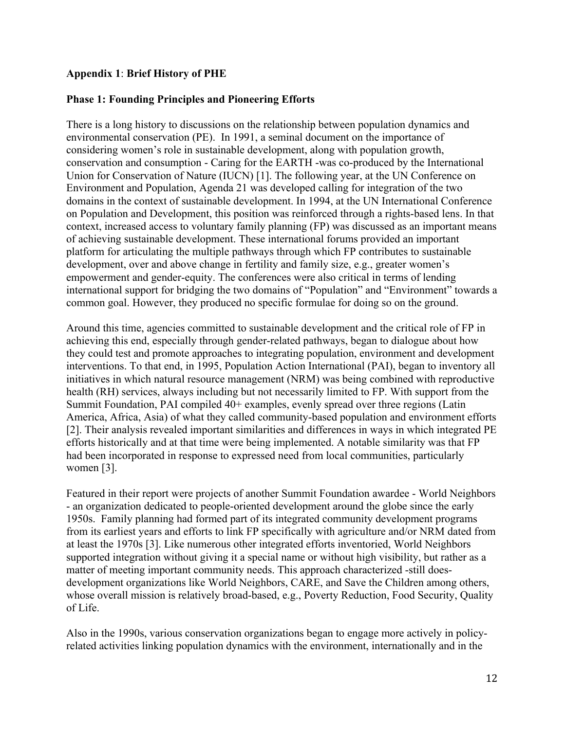#### **Appendix 1**: **Brief History of PHE**

#### **Phase 1: Founding Principles and Pioneering Efforts**

There is a long history to discussions on the relationship between population dynamics and environmental conservation (PE). In 1991, a seminal document on the importance of considering women's role in sustainable development, along with population growth, conservation and consumption - Caring for the EARTH -was co-produced by the International Union for Conservation of Nature (IUCN) [1]. The following year, at the UN Conference on Environment and Population, Agenda 21 was developed calling for integration of the two domains in the context of sustainable development. In 1994, at the UN International Conference on Population and Development, this position was reinforced through a rights-based lens. In that context, increased access to voluntary family planning (FP) was discussed as an important means of achieving sustainable development. These international forums provided an important platform for articulating the multiple pathways through which FP contributes to sustainable development, over and above change in fertility and family size, e.g., greater women's empowerment and gender-equity. The conferences were also critical in terms of lending international support for bridging the two domains of "Population" and "Environment" towards a common goal. However, they produced no specific formulae for doing so on the ground.

Around this time, agencies committed to sustainable development and the critical role of FP in achieving this end, especially through gender-related pathways, began to dialogue about how they could test and promote approaches to integrating population, environment and development interventions. To that end, in 1995, Population Action International (PAI), began to inventory all initiatives in which natural resource management (NRM) was being combined with reproductive health (RH) services, always including but not necessarily limited to FP. With support from the Summit Foundation, PAI compiled 40+ examples, evenly spread over three regions (Latin America, Africa, Asia) of what they called community-based population and environment efforts [2]. Their analysis revealed important similarities and differences in ways in which integrated PE efforts historically and at that time were being implemented. A notable similarity was that FP had been incorporated in response to expressed need from local communities, particularly women [3].

Featured in their report were projects of another Summit Foundation awardee - World Neighbors - an organization dedicated to people-oriented development around the globe since the early 1950s. Family planning had formed part of its integrated community development programs from its earliest years and efforts to link FP specifically with agriculture and/or NRM dated from at least the 1970s [3]. Like numerous other integrated efforts inventoried, World Neighbors supported integration without giving it a special name or without high visibility, but rather as a matter of meeting important community needs. This approach characterized -still doesdevelopment organizations like World Neighbors, CARE, and Save the Children among others, whose overall mission is relatively broad-based, e.g., Poverty Reduction, Food Security, Quality of Life.

Also in the 1990s, various conservation organizations began to engage more actively in policyrelated activities linking population dynamics with the environment, internationally and in the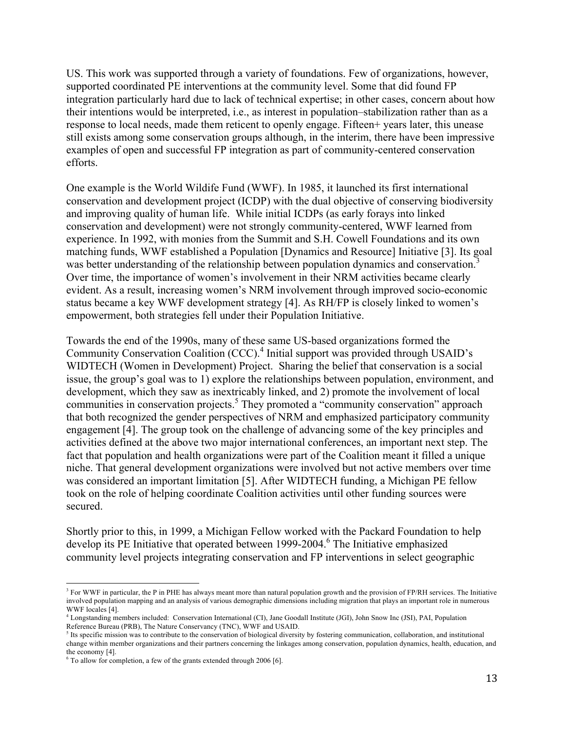US. This work was supported through a variety of foundations. Few of organizations, however, supported coordinated PE interventions at the community level. Some that did found FP integration particularly hard due to lack of technical expertise; in other cases, concern about how their intentions would be interpreted, i.e., as interest in population–stabilization rather than as a response to local needs, made them reticent to openly engage. Fifteen+ years later, this unease still exists among some conservation groups although, in the interim, there have been impressive examples of open and successful FP integration as part of community-centered conservation efforts.

One example is the World Wildife Fund (WWF). In 1985, it launched its first international conservation and development project (ICDP) with the dual objective of conserving biodiversity and improving quality of human life. While initial ICDPs (as early forays into linked conservation and development) were not strongly community-centered, WWF learned from experience. In 1992, with monies from the Summit and S.H. Cowell Foundations and its own matching funds, WWF established a Population [Dynamics and Resource] Initiative [3]. Its goal was better understanding of the relationship between population dynamics and conservation. Over time, the importance of women's involvement in their NRM activities became clearly evident. As a result, increasing women's NRM involvement through improved socio-economic status became a key WWF development strategy [4]. As RH/FP is closely linked to women's empowerment, both strategies fell under their Population Initiative.

Towards the end of the 1990s, many of these same US-based organizations formed the Community Conservation Coalition (CCC).<sup>4</sup> Initial support was provided through USAID's WIDTECH (Women in Development) Project. Sharing the belief that conservation is a social issue, the group's goal was to 1) explore the relationships between population, environment, and development, which they saw as inextricably linked, and 2) promote the involvement of local communities in conservation projects.<sup>5</sup> They promoted a "community conservation" approach that both recognized the gender perspectives of NRM and emphasized participatory community engagement [4]. The group took on the challenge of advancing some of the key principles and activities defined at the above two major international conferences, an important next step. The fact that population and health organizations were part of the Coalition meant it filled a unique niche. That general development organizations were involved but not active members over time was considered an important limitation [5]. After WIDTECH funding, a Michigan PE fellow took on the role of helping coordinate Coalition activities until other funding sources were secured.

Shortly prior to this, in 1999, a Michigan Fellow worked with the Packard Foundation to help develop its PE Initiative that operated between 1999-2004.<sup>6</sup> The Initiative emphasized community level projects integrating conservation and FP interventions in select geographic

 

<sup>&</sup>lt;sup>3</sup> For WWF in particular, the P in PHE has always meant more than natural population growth and the provision of FP/RH services. The Initiative involved population mapping and an analysis of various demographic dimensions including migration that plays an important role in numerous WWF locales [4].

<sup>4</sup> Longstanding members included: Conservation International (CI), Jane Goodall Institute (JGI), John Snow Inc (JSI), PAI, Population Reference Bureau (PRB), The Nature Conservancy (TNC), WWF and USAID.

 $<sup>5</sup>$  Its specific mission was to contribute to the conservation of biological diversity by fostering communication, collaboration, and institutional</sup> change within member organizations and their partners concerning the linkages among conservation, population dynamics, health, education, and the economy [4].

 $6$  To allow for completion, a few of the grants extended through 2006 [6].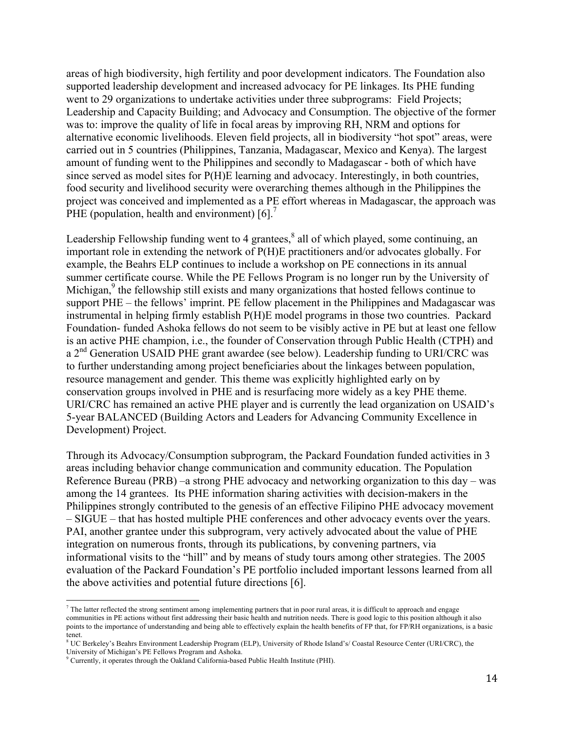areas of high biodiversity, high fertility and poor development indicators. The Foundation also supported leadership development and increased advocacy for PE linkages. Its PHE funding went to 29 organizations to undertake activities under three subprograms: Field Projects; Leadership and Capacity Building; and Advocacy and Consumption. The objective of the former was to: improve the quality of life in focal areas by improving RH, NRM and options for alternative economic livelihoods. Eleven field projects, all in biodiversity "hot spot" areas, were carried out in 5 countries (Philippines, Tanzania, Madagascar, Mexico and Kenya). The largest amount of funding went to the Philippines and secondly to Madagascar - both of which have since served as model sites for P(H)E learning and advocacy. Interestingly, in both countries, food security and livelihood security were overarching themes although in the Philippines the project was conceived and implemented as a PE effort whereas in Madagascar, the approach was PHE (population, health and environment)  $[6]$ .<sup>7</sup>

Leadership Fellowship funding went to 4 grantees, $\frac{8}{3}$  all of which played, some continuing, an important role in extending the network of P(H)E practitioners and/or advocates globally. For example, the Beahrs ELP continues to include a workshop on PE connections in its annual summer certificate course. While the PE Fellows Program is no longer run by the University of Michigan,<sup>9</sup> the fellowship still exists and many organizations that hosted fellows continue to support PHE – the fellows' imprint. PE fellow placement in the Philippines and Madagascar was instrumental in helping firmly establish P(H)E model programs in those two countries. Packard Foundation- funded Ashoka fellows do not seem to be visibly active in PE but at least one fellow is an active PHE champion, i.e., the founder of Conservation through Public Health (CTPH) and a 2<sup>nd</sup> Generation USAID PHE grant awardee (see below). Leadership funding to URI/CRC was to further understanding among project beneficiaries about the linkages between population, resource management and gender*.* This theme was explicitly highlighted early on by conservation groups involved in PHE and is resurfacing more widely as a key PHE theme. URI/CRC has remained an active PHE player and is currently the lead organization on USAID's 5-year BALANCED (Building Actors and Leaders for Advancing Community Excellence in Development) Project.

Through its Advocacy/Consumption subprogram, the Packard Foundation funded activities in 3 areas including behavior change communication and community education. The Population Reference Bureau (PRB) –a strong PHE advocacy and networking organization to this day – was among the 14 grantees. Its PHE information sharing activities with decision-makers in the Philippines strongly contributed to the genesis of an effective Filipino PHE advocacy movement – SIGUE – that has hosted multiple PHE conferences and other advocacy events over the years. PAI, another grantee under this subprogram, very actively advocated about the value of PHE integration on numerous fronts, through its publications, by convening partners, via informational visits to the "hill" and by means of study tours among other strategies. The 2005 evaluation of the Packard Foundation's PE portfolio included important lessons learned from all the above activities and potential future directions [6].

 

 $^7$  The latter reflected the strong sentiment among implementing partners that in poor rural areas, it is difficult to approach and engage communities in PE actions without first addressing their basic health and nutrition needs. There is good logic to this position although it also points to the importance of understanding and being able to effectively explain the health benefits of FP that, for FP/RH organizations, is a basic tenet.

<sup>8</sup> UC Berkeley's Beahrs Environment Leadership Program (ELP), University of Rhode Island's/ Coastal Resource Center (URI/CRC), the University of Michigan's PE Fellows Program and Ashoka.

<sup>9</sup> Currently, it operates through the Oakland California-based Public Health Institute (PHI).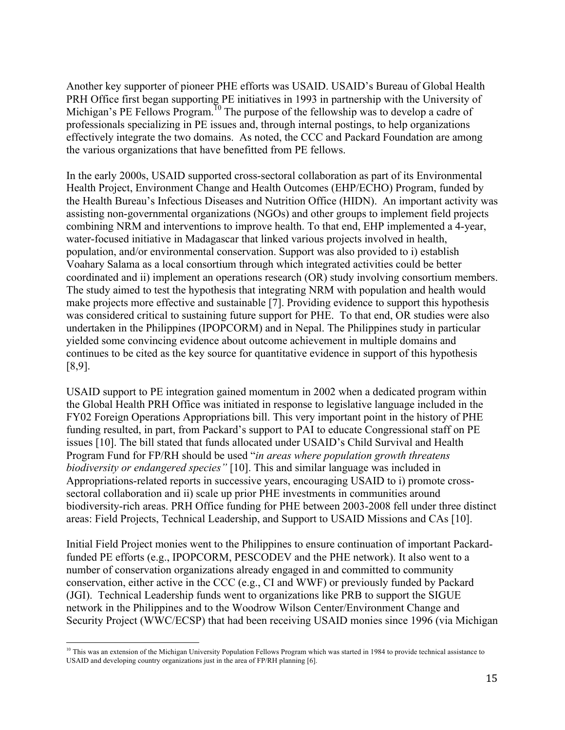Another key supporter of pioneer PHE efforts was USAID. USAID's Bureau of Global Health PRH Office first began supporting PE initiatives in 1993 in partnership with the University of Michigan's PE Fellows Program.<sup>10</sup> The purpose of the fellowship was to develop a cadre of professionals specializing in PE issues and, through internal postings, to help organizations effectively integrate the two domains. As noted, the CCC and Packard Foundation are among the various organizations that have benefitted from PE fellows.

In the early 2000s, USAID supported cross-sectoral collaboration as part of its Environmental Health Project, Environment Change and Health Outcomes (EHP/ECHO) Program, funded by the Health Bureau's Infectious Diseases and Nutrition Office (HIDN). An important activity was assisting non-governmental organizations (NGOs) and other groups to implement field projects combining NRM and interventions to improve health. To that end, EHP implemented a 4-year, water-focused initiative in Madagascar that linked various projects involved in health, population, and/or environmental conservation. Support was also provided to i) establish Voahary Salama as a local consortium through which integrated activities could be better coordinated and ii) implement an operations research (OR) study involving consortium members. The study aimed to test the hypothesis that integrating NRM with population and health would make projects more effective and sustainable [7]. Providing evidence to support this hypothesis was considered critical to sustaining future support for PHE. To that end, OR studies were also undertaken in the Philippines (IPOPCORM) and in Nepal. The Philippines study in particular yielded some convincing evidence about outcome achievement in multiple domains and continues to be cited as the key source for quantitative evidence in support of this hypothesis [8,9].

USAID support to PE integration gained momentum in 2002 when a dedicated program within the Global Health PRH Office was initiated in response to legislative language included in the FY02 Foreign Operations Appropriations bill. This very important point in the history of PHE funding resulted, in part, from Packard's support to PAI to educate Congressional staff on PE issues [10]. The bill stated that funds allocated under USAID's Child Survival and Health Program Fund for FP/RH should be used "*in areas where population growth threatens biodiversity or endangered species"* [10]. This and similar language was included in Appropriations-related reports in successive years, encouraging USAID to i) promote crosssectoral collaboration and ii) scale up prior PHE investments in communities around biodiversity-rich areas. PRH Office funding for PHE between 2003-2008 fell under three distinct areas: Field Projects, Technical Leadership, and Support to USAID Missions and CAs [10].

Initial Field Project monies went to the Philippines to ensure continuation of important Packardfunded PE efforts (e.g., IPOPCORM, PESCODEV and the PHE network). It also went to a number of conservation organizations already engaged in and committed to community conservation, either active in the CCC (e.g., CI and WWF) or previously funded by Packard (JGI). Technical Leadership funds went to organizations like PRB to support the SIGUE network in the Philippines and to the Woodrow Wilson Center/Environment Change and Security Project (WWC/ECSP) that had been receiving USAID monies since 1996 (via Michigan

  $10$  This was an extension of the Michigan University Population Fellows Program which was started in 1984 to provide technical assistance to USAID and developing country organizations just in the area of FP/RH planning [6].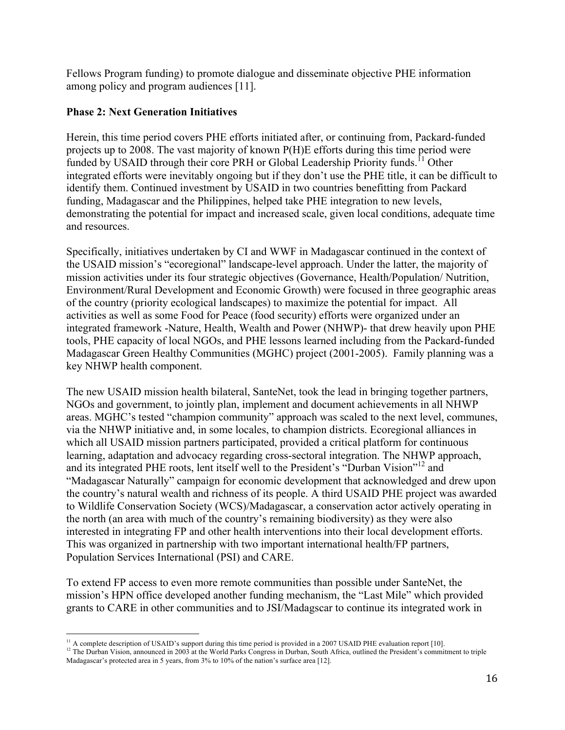Fellows Program funding) to promote dialogue and disseminate objective PHE information among policy and program audiences [11].

### **Phase 2: Next Generation Initiatives**

Herein, this time period covers PHE efforts initiated after, or continuing from, Packard-funded projects up to 2008. The vast majority of known P(H)E efforts during this time period were funded by USAID through their core PRH or Global Leadership Priority funds.<sup>11</sup> Other integrated efforts were inevitably ongoing but if they don't use the PHE title, it can be difficult to identify them. Continued investment by USAID in two countries benefitting from Packard funding, Madagascar and the Philippines, helped take PHE integration to new levels, demonstrating the potential for impact and increased scale, given local conditions, adequate time and resources.

Specifically, initiatives undertaken by CI and WWF in Madagascar continued in the context of the USAID mission's "ecoregional" landscape-level approach. Under the latter, the majority of mission activities under its four strategic objectives (Governance, Health/Population/ Nutrition, Environment/Rural Development and Economic Growth) were focused in three geographic areas of the country (priority ecological landscapes) to maximize the potential for impact. All activities as well as some Food for Peace (food security) efforts were organized under an integrated framework -Nature, Health, Wealth and Power (NHWP)- that drew heavily upon PHE tools, PHE capacity of local NGOs, and PHE lessons learned including from the Packard-funded Madagascar Green Healthy Communities (MGHC) project (2001-2005). Family planning was a key NHWP health component.

The new USAID mission health bilateral, SanteNet, took the lead in bringing together partners, NGOs and government, to jointly plan, implement and document achievements in all NHWP areas. MGHC's tested "champion community" approach was scaled to the next level, communes, via the NHWP initiative and, in some locales, to champion districts. Ecoregional alliances in which all USAID mission partners participated, provided a critical platform for continuous learning, adaptation and advocacy regarding cross-sectoral integration. The NHWP approach, and its integrated PHE roots, lent itself well to the President's "Durban Vision"12 and "Madagascar Naturally" campaign for economic development that acknowledged and drew upon the country's natural wealth and richness of its people. A third USAID PHE project was awarded to Wildlife Conservation Society (WCS)/Madagascar, a conservation actor actively operating in the north (an area with much of the country's remaining biodiversity) as they were also interested in integrating FP and other health interventions into their local development efforts. This was organized in partnership with two important international health/FP partners, Population Services International (PSI) and CARE.

To extend FP access to even more remote communities than possible under SanteNet, the mission's HPN office developed another funding mechanism, the "Last Mile" which provided grants to CARE in other communities and to JSI/Madagscar to continue its integrated work in

<sup>12</sup> The Durban Vision, announced in 2003 at the World Parks Congress in Durban, South Africa, outlined the President's commitment to triple Madagascar's protected area in 5 years, from 3% to 10% of the nation's surface area [12].

  $<sup>11</sup>$  A complete description of USAID's support during this time period is provided in a 2007 USAID PHE evaluation report [10].</sup>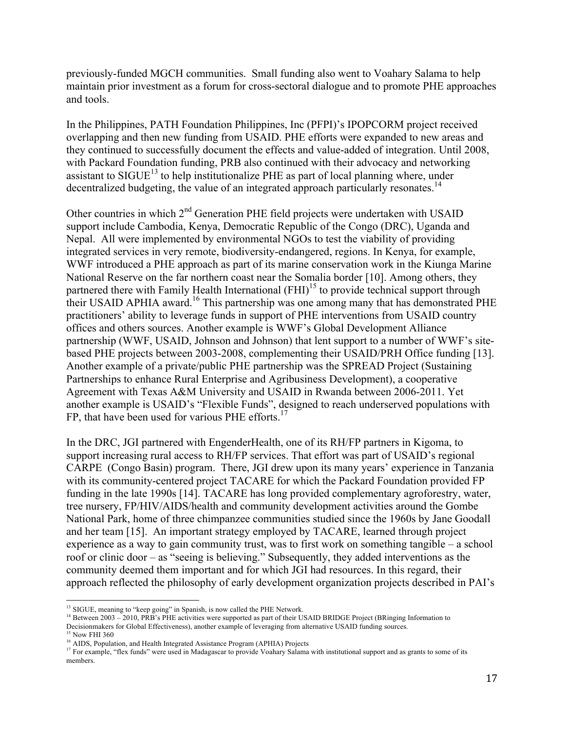previously-funded MGCH communities. Small funding also went to Voahary Salama to help maintain prior investment as a forum for cross-sectoral dialogue and to promote PHE approaches and tools.

In the Philippines, PATH Foundation Philippines, Inc (PFPI)'s IPOPCORM project received overlapping and then new funding from USAID. PHE efforts were expanded to new areas and they continued to successfully document the effects and value-added of integration. Until 2008, with Packard Foundation funding, PRB also continued with their advocacy and networking assistant to  $SIGUE^{13}$  to help institutionalize PHE as part of local planning where, under decentralized budgeting, the value of an integrated approach particularly resonates.<sup>14</sup>

Other countries in which  $2<sup>nd</sup>$  Generation PHE field projects were undertaken with USAID support include Cambodia, Kenya, Democratic Republic of the Congo (DRC), Uganda and Nepal. All were implemented by environmental NGOs to test the viability of providing integrated services in very remote, biodiversity-endangered, regions. In Kenya, for example, WWF introduced a PHE approach as part of its marine conservation work in the Kiunga Marine National Reserve on the far northern coast near the Somalia border [10]. Among others, they partnered there with Family Health International (FHI)<sup>15</sup> to provide technical support through their USAID APHIA award.<sup>16</sup> This partnership was one among many that has demonstrated PHE practitioners' ability to leverage funds in support of PHE interventions from USAID country offices and others sources. Another example is WWF's Global Development Alliance partnership (WWF, USAID, Johnson and Johnson) that lent support to a number of WWF's sitebased PHE projects between 2003-2008, complementing their USAID/PRH Office funding [13]. Another example of a private/public PHE partnership was the SPREAD Project (Sustaining Partnerships to enhance Rural Enterprise and Agribusiness Development), a cooperative Agreement with Texas A&M University and USAID in Rwanda between 2006-2011. Yet another example is USAID's "Flexible Funds", designed to reach underserved populations with FP, that have been used for various PHE efforts.<sup>17</sup>

In the DRC, JGI partnered with EngenderHealth, one of its RH/FP partners in Kigoma, to support increasing rural access to RH/FP services. That effort was part of USAID's regional CARPE (Congo Basin) program. There, JGI drew upon its many years' experience in Tanzania with its community-centered project TACARE for which the Packard Foundation provided FP funding in the late 1990s [14]. TACARE has long provided complementary agroforestry, water, tree nursery, FP/HIV/AIDS/health and community development activities around the Gombe National Park, home of three chimpanzee communities studied since the 1960s by Jane Goodall and her team [15]. An important strategy employed by TACARE, learned through project experience as a way to gain community trust, was to first work on something tangible – a school roof or clinic door – as "seeing is believing." Subsequently, they added interventions as the community deemed them important and for which JGI had resources. In this regard, their approach reflected the philosophy of early development organization projects described in PAI's

<sup>&</sup>lt;sup>13</sup> SIGUE, meaning to "keep going" in Spanish, is now called the PHE Network.

<sup>&</sup>lt;sup>14</sup> Between 2003 – 2010, PRB's PHE activities were supported as part of their USAID BRIDGE Project (BRinging Information to Decisionmakers for Global Effectiveness), another example of leveraging from alternative USAID funding sources. <sup>15</sup> Now FHI 360

<sup>&</sup>lt;sup>16</sup> AIDS, Population, and Health Integrated Assistance Program (APHIA) Projects  $17$  For example, "flex funds" were used in Madagascar to provide Voahary Salama with institutional support and as grants to some of its members.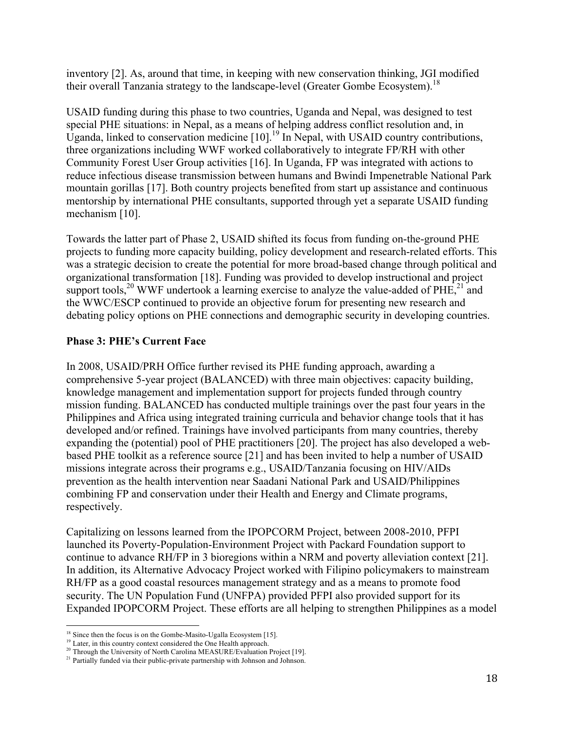inventory [2]. As, around that time, in keeping with new conservation thinking, JGI modified their overall Tanzania strategy to the landscape-level (Greater Gombe Ecosystem). 18

USAID funding during this phase to two countries, Uganda and Nepal, was designed to test special PHE situations: in Nepal, as a means of helping address conflict resolution and, in Uganda, linked to conservation medicine  $[10]$ .<sup>19</sup> In Nepal, with USAID country contributions, three organizations including WWF worked collaboratively to integrate FP/RH with other Community Forest User Group activities [16]. In Uganda, FP was integrated with actions to reduce infectious disease transmission between humans and Bwindi Impenetrable National Park mountain gorillas [17]. Both country projects benefited from start up assistance and continuous mentorship by international PHE consultants, supported through yet a separate USAID funding mechanism [10].

Towards the latter part of Phase 2, USAID shifted its focus from funding on-the-ground PHE projects to funding more capacity building, policy development and research-related efforts. This was a strategic decision to create the potential for more broad-based change through political and organizational transformation [18]. Funding was provided to develop instructional and project support tools,<sup>20</sup> WWF undertook a learning exercise to analyze the value-added of PHE,<sup>21</sup> and the WWC/ESCP continued to provide an objective forum for presenting new research and debating policy options on PHE connections and demographic security in developing countries.

# **Phase 3: PHE's Current Face**

In 2008, USAID/PRH Office further revised its PHE funding approach, awarding a comprehensive 5-year project (BALANCED) with three main objectives: capacity building, knowledge management and implementation support for projects funded through country mission funding. BALANCED has conducted multiple trainings over the past four years in the Philippines and Africa using integrated training curricula and behavior change tools that it has developed and/or refined. Trainings have involved participants from many countries, thereby expanding the (potential) pool of PHE practitioners [20]. The project has also developed a webbased PHE toolkit as a reference source [21] and has been invited to help a number of USAID missions integrate across their programs e.g., USAID/Tanzania focusing on HIV/AIDs prevention as the health intervention near Saadani National Park and USAID/Philippines combining FP and conservation under their Health and Energy and Climate programs, respectively.

Capitalizing on lessons learned from the IPOPCORM Project, between 2008-2010, PFPI launched its Poverty-Population-Environment Project with Packard Foundation support to continue to advance RH/FP in 3 bioregions within a NRM and poverty alleviation context [21]. In addition, its Alternative Advocacy Project worked with Filipino policymakers to mainstream RH/FP as a good coastal resources management strategy and as a means to promote food security. The UN Population Fund (UNFPA) provided PFPI also provided support for its Expanded IPOPCORM Project. These efforts are all helping to strengthen Philippines as a model

 

<sup>&</sup>lt;sup>18</sup> Since then the focus is on the Gombe-Masito-Ugalla Ecosystem [15].

<sup>&</sup>lt;sup>19</sup> Later, in this country context considered the One Health approach.

<sup>&</sup>lt;sup>20</sup> Through the University of North Carolina MEASURE/Evaluation Project [19].

<sup>&</sup>lt;sup>21</sup> Partially funded via their public-private partnership with Johnson and Johnson.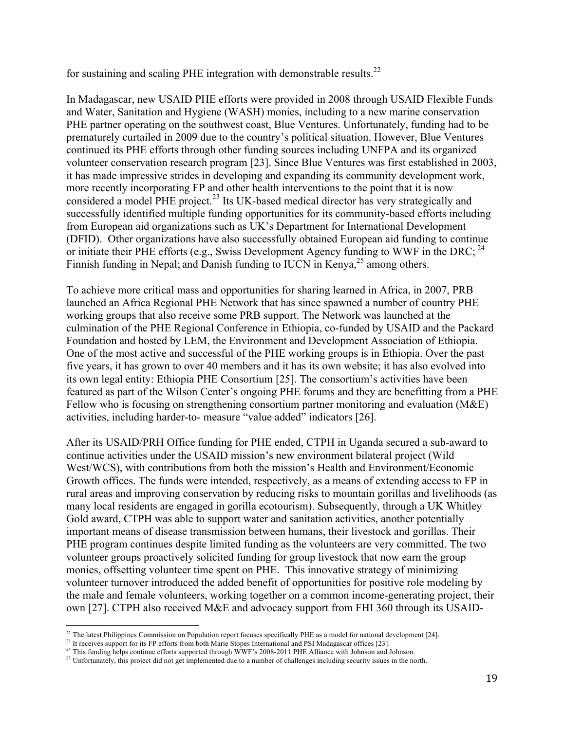for sustaining and scaling PHE integration with demonstrable results.<sup>22</sup>

In Madagascar, new USAID PHE efforts were provided in 2008 through USAID Flexible Funds and Water, Sanitation and Hygiene (WASH) monies, including to a new marine conservation PHE partner operating on the southwest coast, Blue Ventures. Unfortunately, funding had to be prematurely curtailed in 2009 due to the country's political situation. However, Blue Ventures continued its PHE efforts through other funding sources including UNFPA and its organized volunteer conservation research program [23]. Since Blue Ventures was first established in 2003, it has made impressive strides in developing and expanding its community development work, more recently incorporating FP and other health interventions to the point that it is now considered a model PHE project.<sup>23</sup> Its UK-based medical director has very strategically and successfully identified multiple funding opportunities for its community-based efforts including from European aid organizations such as UK's Department for International Development (DFID). Other organizations have also successfully obtained European aid funding to continue or initiate their PHE efforts (e.g., Swiss Development Agency funding to WWF in the DRC;  $^{24}$ Finnish funding in Nepal; and Danish funding to IUCN in Kenya, $^{25}$  among others.

To achieve more critical mass and opportunities for sharing learned in Africa, in 2007, PRB launched an Africa Regional PHE Network that has since spawned a number of country PHE working groups that also receive some PRB support. The Network was launched at the culmination of the PHE Regional Conference in Ethiopia, co-funded by USAID and the Packard Foundation and hosted by LEM, the Environment and Development Association of Ethiopia. One of the most active and successful of the PHE working groups is in Ethiopia. Over the past five years, it has grown to over 40 members and it has its own website; it has also evolved into its own legal entity: Ethiopia PHE Consortium [25]. The consortium's activities have been featured as part of the Wilson Center's ongoing PHE forums and they are benefitting from a PHE Fellow who is focusing on strengthening consortium partner monitoring and evaluation (M&E) activities, including harder-to- measure "value added" indicators [26].

After its USAID/PRH Office funding for PHE ended, CTPH in Uganda secured a sub-award to continue activities under the USAID mission's new environment bilateral project (Wild West/WCS), with contributions from both the mission's Health and Environment/Economic Growth offices. The funds were intended, respectively, as a means of extending access to FP in rural areas and improving conservation by reducing risks to mountain gorillas and livelihoods (as many local residents are engaged in gorilla ecotourism). Subsequently, through a UK Whitley Gold award, CTPH was able to support water and sanitation activities, another potentially important means of disease transmission between humans, their livestock and gorillas. Their PHE program continues despite limited funding as the volunteers are very committed. The two volunteer groups proactively solicited funding for group livestock that now earn the group monies, offsetting volunteer time spent on PHE. This innovative strategy of minimizing volunteer turnover introduced the added benefit of opportunities for positive role modeling by the male and female volunteers, working together on a common income-generating project, their own [27]. CTPH also received M&E and advocacy support from FHI 360 through its USAID-

 

 $2<sup>22</sup>$  The latest Philippines Commission on Population report focuses specifically PHE as a model for national development [24].

<sup>&</sup>lt;sup>23</sup> It receives support for its FP efforts from both Marie Stopes International and PSI Madagascar offices [23].<br><sup>24</sup> This funding helps continue efforts supported through WWF's 2008-2011 PHE Alliance with Johnson and Jo

<sup>&</sup>lt;sup>25</sup> Unfortunately, this project did not get implemented due to a number of challenges including security issues in the north.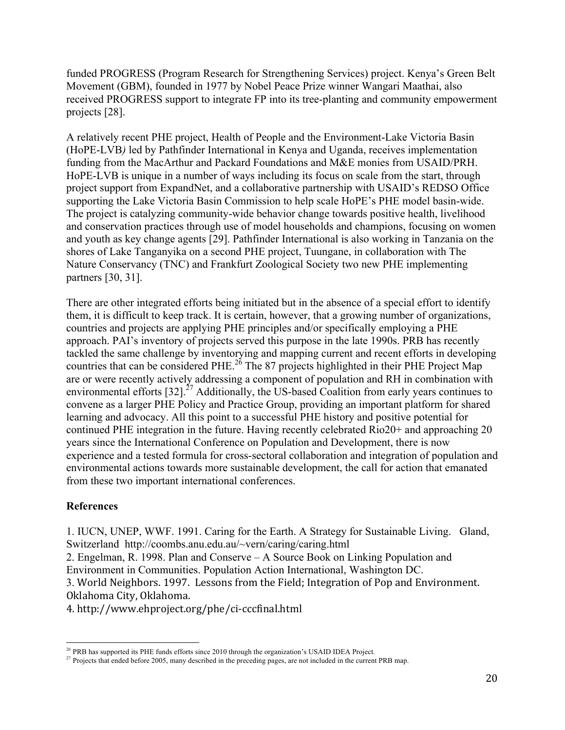funded PROGRESS (Program Research for Strengthening Services) project. Kenya's Green Belt Movement (GBM), founded in 1977 by Nobel Peace Prize winner Wangari Maathai, also received PROGRESS support to integrate FP into its tree-planting and community empowerment projects [28].

A relatively recent PHE project, Health of People and the Environment-Lake Victoria Basin (HoPE-LVB*)* led by Pathfinder International in Kenya and Uganda, receives implementation funding from the MacArthur and Packard Foundations and M&E monies from USAID/PRH. HoPE-LVB is unique in a number of ways including its focus on scale from the start, through project support from ExpandNet, and a collaborative partnership with USAID's REDSO Office supporting the Lake Victoria Basin Commission to help scale HoPE's PHE model basin-wide. The project is catalyzing community-wide behavior change towards positive health, livelihood and conservation practices through use of model households and champions, focusing on women and youth as key change agents [29]. Pathfinder International is also working in Tanzania on the shores of Lake Tanganyika on a second PHE project, Tuungane, in collaboration with The Nature Conservancy (TNC) and Frankfurt Zoological Society two new PHE implementing partners [30, 31].

There are other integrated efforts being initiated but in the absence of a special effort to identify them, it is difficult to keep track. It is certain, however, that a growing number of organizations, countries and projects are applying PHE principles and/or specifically employing a PHE approach. PAI's inventory of projects served this purpose in the late 1990s. PRB has recently tackled the same challenge by inventorying and mapping current and recent efforts in developing countries that can be considered PHE.<sup>26</sup> The 87 projects highlighted in their PHE Project Map are or were recently actively addressing a component of population and RH in combination with environmental efforts [32].<sup>27</sup> Additionally, the US-based Coalition from early years continues to convene as a larger PHE Policy and Practice Group, providing an important platform for shared learning and advocacy. All this point to a successful PHE history and positive potential for continued PHE integration in the future. Having recently celebrated Rio20+ and approaching 20 years since the International Conference on Population and Development, there is now experience and a tested formula for cross-sectoral collaboration and integration of population and environmental actions towards more sustainable development, the call for action that emanated from these two important international conferences.

#### **References**

1. IUCN, UNEP, WWF. 1991. Caring for the Earth. A Strategy for Sustainable Living. Gland, Switzerland http://coombs.anu.edu.au/~vern/caring/caring.html

2. Engelman, R. 1998. Plan and Conserve – A Source Book on Linking Population and Environment in Communities. Population Action International, Washington DC.

3. World Neighbors. 1997. Lessons from the Field; Integration of Pop and Environment. Oklahoma City, Oklahoma.

4. http://www.ehproject.org/phe/ci-cccfinal.html

<sup>&</sup>lt;sup>26</sup> PRB has supported its PHE funds efforts since 2010 through the organization's USAID IDEA Project. <sup>27</sup> Projects that ended before 2005, many described in the preceding pages, are not included in the current PRB map.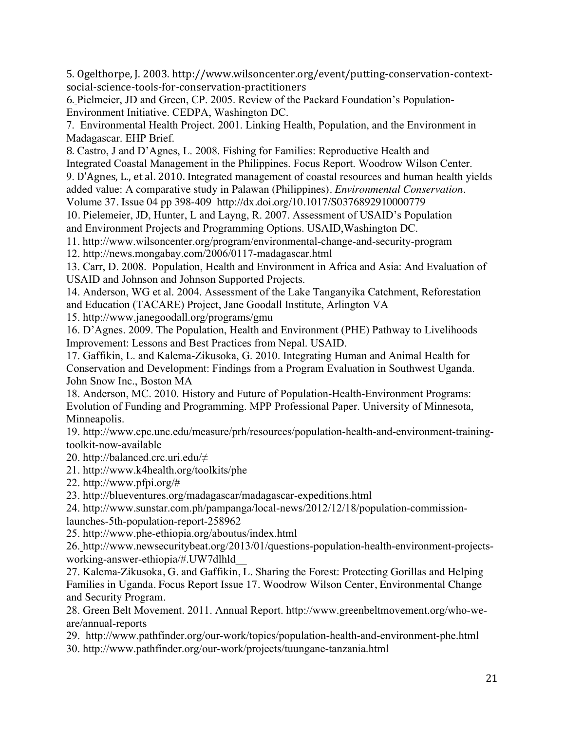5. Ogelthorpe, J. 2003. http://www.wilsoncenter.org/event/putting-conservation-contextsocial-science-tools-for-conservation-practitioners

6. Pielmeier, JD and Green, CP. 2005. Review of the Packard Foundation's Population-Environment Initiative. CEDPA, Washington DC.

7. Environmental Health Project. 2001. Linking Health, Population, and the Environment in Madagascar. EHP Brief.

8. Castro, J and D'Agnes, L. 2008. Fishing for Families: Reproductive Health and Integrated Coastal Management in the Philippines. Focus Report. Woodrow Wilson Center.

9. D'Agnes, L., et al. 2010. Integrated management of coastal resources and human health yields added value: A comparative study in Palawan (Philippines). *Environmental Conservation*. Volume 37. Issue 04 pp 398-409 http://dx.doi.org/10.1017/S0376892910000779

10. Pielemeier, JD, Hunter, L and Layng, R. 2007. Assessment of USAID's Population and Environment Projects and Programming Options. USAID,Washington DC.

11. http://www.wilsoncenter.org/program/environmental-change-and-security-program

12. http://news.mongabay.com/2006/0117-madagascar.html

13. Carr, D. 2008. Population, Health and Environment in Africa and Asia: And Evaluation of USAID and Johnson and Johnson Supported Projects.

14. Anderson, WG et al. 2004. Assessment of the Lake Tanganyika Catchment, Reforestation and Education (TACARE) Project, Jane Goodall Institute, Arlington VA

15. http://www.janegoodall.org/programs/gmu

16. D'Agnes. 2009. The Population, Health and Environment (PHE) Pathway to Livelihoods Improvement: Lessons and Best Practices from Nepal. USAID.

17. Gaffikin, L. and Kalema-Zikusoka, G. 2010. Integrating Human and Animal Health for Conservation and Development: Findings from a Program Evaluation in Southwest Uganda. John Snow Inc., Boston MA

18. Anderson, MC. 2010. History and Future of Population-Health-Environment Programs: Evolution of Funding and Programming. MPP Professional Paper. University of Minnesota, Minneapolis.

19. http://www.cpc.unc.edu/measure/prh/resources/population-health-and-environment-trainingtoolkit-now-available

20. http://balanced.crc.uri.edu/≠

21. http://www.k4health.org/toolkits/phe

22. http://www.pfpi.org/#

23. http://blueventures.org/madagascar/madagascar-expeditions.html

24. http://www.sunstar.com.ph/pampanga/local-news/2012/12/18/population-commissionlaunches-5th-population-report-258962

25. http://www.phe-ethiopia.org/aboutus/index.html

26. http://www.newsecuritybeat.org/2013/01/questions-population-health-environment-projectsworking-answer-ethiopia/#.UW7dlhld\_\_

27. Kalema-Zikusoka, G. and Gaffikin, L. Sharing the Forest: Protecting Gorillas and Helping Families in Uganda. Focus Report Issue 17. Woodrow Wilson Center, Environmental Change and Security Program.

28. Green Belt Movement. 2011. Annual Report. http://www.greenbeltmovement.org/who-weare/annual-reports

29. http://www.pathfinder.org/our-work/topics/population-health-and-environment-phe.html 30. http://www.pathfinder.org/our-work/projects/tuungane-tanzania.html